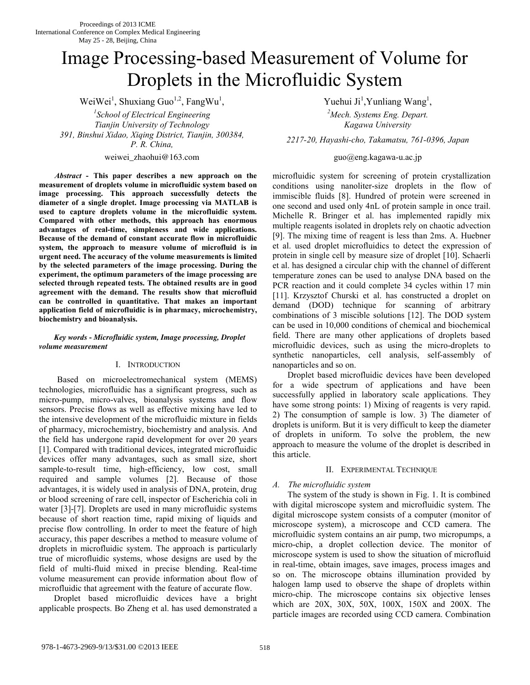# Image Processing-based Measurement of Volume for Droplets in the Microfluidic System

WeiWei<sup>1</sup>, Shuxiang Guo<sup>1,2</sup>, FangWu<sup>1</sup>

*1 School of Electrical Engineering <sup>2</sup> Tianjin University of Technology Kagawa University 391, Binshui Xidao, Xiqing District, Tianjin, 300384,* 

weiwei\_zhaohui@163.com guo@eng.kagawa-u.ac.jp

 *Abstract* **- This paper describes a new approach on the measurement of droplets volume in microfluidic system based on image processing. This approach successfully detects the diameter of a single droplet. Image processing via MATLAB is used to capture droplets volume in the microfluidic system. Compared with other methods, this approach has enormous advantages of real-time, simpleness and wide applications. Because of the demand of constant accurate flow in microfluidic system, the approach to measure volume of microfluid is in urgent need. The accuracy of the volume measurements is limited by the selected parameters of the image processing. During the experiment, the optimum parameters of the image processing are selected through repeated tests. The obtained results are in good agreement with the demand. The results show that microfluid can be controlled in quantitative. That makes an important application field of microfluidic is in pharmacy, microchemistry, biochemistry and bioanalysis.** 

*Key words* **-** *Microfluidic system, Image processing, Droplet volume measurement* 

# I. INTRODUCTION

 Based on microelectromechanical system (MEMS) technologies, microfluidic has a significant progress, such as micro-pump, micro-valves, bioanalysis systems and flow sensors. Precise flows as well as effective mixing have led to the intensive development of the microfluidic mixture in fields of pharmacy, microchemistry, biochemistry and analysis. And the field has undergone rapid development for over 20 years [1]. Compared with traditional devices, integrated microfluidic devices offer many advantages, such as small size, short sample-to-result time, high-efficiency, low cost, small required and sample volumes [2]. Because of those advantages, it is widely used in analysis of DNA, protein, drug or blood screening of rare cell, inspector of Escherichia coli in water [3]-[7]. Droplets are used in many microfluidic systems because of short reaction time, rapid mixing of liquids and precise flow controlling. In order to meet the feature of high accuracy, this paper describes a method to measure volume of droplets in microfluidic system. The approach is particularly true of microfluidic systems, whose designs are used by the field of multi-fluid mixed in precise blending. Real-time volume measurement can provide information about flow of microfluidic that agreement with the feature of accurate flow.

Droplet based microfluidic devices have a bright applicable prospects. Bo Zheng et al. has used demonstrated a

 $Y$ uehui Ji<sup>1</sup>, Yunliang Wang<sup>1</sup>, *Mech. Systems Eng. Depart.* 

*P. R. China, 2217-20, Hayashi-cho, Takamatsu, 761-0396, Japan* 

microfluidic system for screening of protein crystallization conditions using nanoliter-size droplets in the flow of immiscible fluids [8]. Hundred of protein were screened in one second and used only 4nL of protein sample in once trail. Michelle R. Bringer et al. has implemented rapidly mix multiple reagents isolated in droplets rely on chaotic advection [9]. The mixing time of reagent is less than 2ms. A. Huebner et al. used droplet microfluidics to detect the expression of protein in single cell by measure size of droplet [10]. Schaerli et al. has designed a circular chip with the channel of different temperature zones can be used to analyse DNA based on the PCR reaction and it could complete 34 cycles within 17 min [11]. Krzysztof Churski et al. has constructed a droplet on demand (DOD) technique for scanning of arbitrary combinations of 3 miscible solutions [12]. The DOD system can be used in 10,000 conditions of chemical and biochemical field. There are many other applications of droplets based microfluidic devices, such as using the micro-droplets to synthetic nanoparticles, cell analysis, self-assembly of nanoparticles and so on.

Droplet based microfluidic devices have been developed for a wide spectrum of applications and have been successfully applied in laboratory scale applications. They have some strong points: 1) Mixing of reagents is very rapid. 2) The consumption of sample is low. 3) The diameter of droplets is uniform. But it is very difficult to keep the diameter of droplets in uniform. To solve the problem, the new approach to measure the volume of the droplet is described in this article.

# II. EXPERIMENTAL TECHNIQUE

# *A. The microfluidic system*

The system of the study is shown in Fig. 1. It is combined with digital microscope system and microfluidic system. The digital microscope system consists of a computer (monitor of microscope system), a microscope and CCD camera. The microfluidic system contains an air pump, two micropumps, a micro-chip, a droplet collection device. The monitor of microscope system is used to show the situation of microfluid in real-time, obtain images, save images, process images and so on. The microscope obtains illumination provided by halogen lamp used to observe the shape of droplets within micro-chip. The microscope contains six objective lenses which are 20X, 30X, 50X, 100X, 150X and 200X. The particle images are recorded using CCD camera. Combination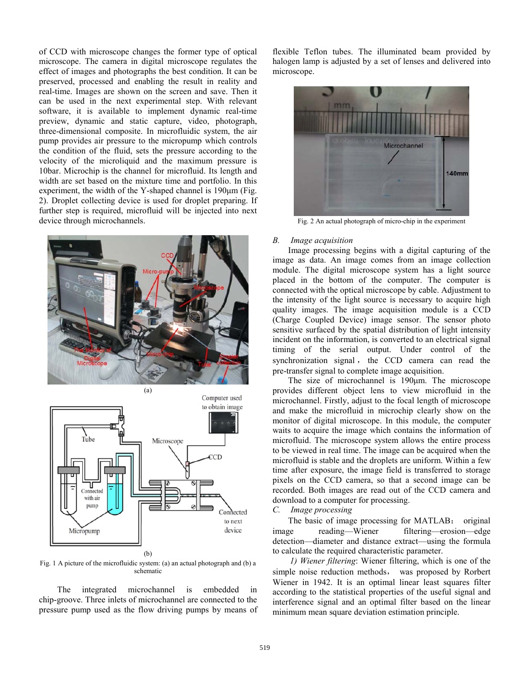of CCD with microscope changes the former type of optical microscope. The camera in digital microscope regulates the effect of images and photographs the best condition. It can be preserved, processed and enabling the result in reality and real-time. Images are shown on the screen and save. Then it can be used in the next experimental step. With relevant software, it is available to implement dynamic real-time preview, dynamic and static capture, video, photograph, three-dimensional composite. In microfluidic system, the air pump provides air pressure to the micropump which controls the condition of the fluid, sets the pressure according to the velocity of the microliquid and the maximum pressure is 10bar. Microchip is the channel for microfluid. Its length and width are set based on the mixture time and portfolio. In this experiment, the width of the Y-shaped channel is 190μm (Fig. 2). Droplet collecting device is used for droplet preparing. If further step is required, microfluid will be injected into next device through microchannels.



Computer used to obtain image Tube Microscope CCD П Connected with air pump Connected to next Micropump device (b)

Fig. 1 A picture of the microfluidic system: (a) an actual photograph and (b) a schematic

 The integrated microchannel is embedded in chip-groove. Three inlets of microchannel are connected to the pressure pump used as the flow driving pumps by means of flexible Teflon tubes. The illuminated beam provided by halogen lamp is adjusted by a set of lenses and delivered into microscope.



Fig. 2 An actual photograph of micro-chip in the experiment

#### *B. Image acquisition*

 Image processing begins with a digital capturing of the image as data. An image comes from an image collection module. The digital microscope system has a light source placed in the bottom of the computer. The computer is connected with the optical microscope by cable. Adjustment to the intensity of the light source is necessary to acquire high quality images. The image acquisition module is a CCD (Charge Coupled Device) image sensor. The sensor photo sensitive surfaced by the spatial distribution of light intensity incident on the information, is converted to an electrical signal timing of the serial output. Under control of the synchronization signal , the CCD camera can read the pre-transfer signal to complete image acquisition.

 The size of microchannel is 190μm. The microscope provides different object lens to view microfluid in the microchannel. Firstly, adjust to the focal length of microscope and make the microfluid in microchip clearly show on the monitor of digital microscope. In this module, the computer waits to acquire the image which contains the information of microfluid. The microscope system allows the entire process to be viewed in real time. The image can be acquired when the microfluid is stable and the droplets are uniform. Within a few time after exposure, the image field is transferred to storage pixels on the CCD camera, so that a second image can be recorded. Both images are read out of the CCD camera and download to a computer for processing.

*C. Image processing* 

 The basic of image processing for MATLAB: original image reading—Wiener filtering—erosion—edge detection—diameter and distance extract—using the formula to calculate the required characteristic parameter.

*1) Wiener filtering*: Wiener filtering, which is one of the simple noise reduction methods, was proposed by Rorbert Wiener in 1942. It is an optimal linear least squares filter according to the statistical properties of the useful signal and interference signal and an optimal filter based on the linear minimum mean square deviation estimation principle.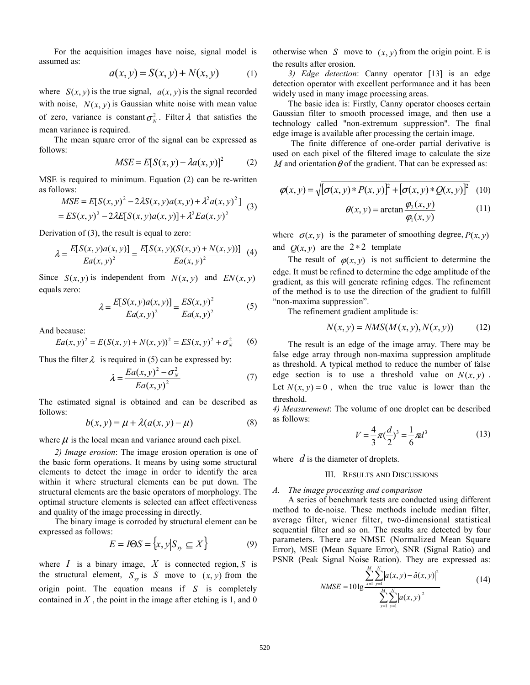For the acquisition images have noise, signal model is assumed as:

$$
a(x, y) = S(x, y) + N(x, y) \tag{1}
$$

where  $S(x, y)$  is the true signal,  $a(x, y)$  is the signal recorded with noise,  $N(x, y)$  is Gaussian white noise with mean value of zero, variance is constant  $\sigma_N^2$ . Filter  $\lambda$  that satisfies the mean variance is required.

The mean square error of the signal can be expressed as follows:  $MSE = E[S(x, y) - \lambda a(x, y)]^2$  (2)

$$
MSE = E[S(x, y) - \lambda a(x, y)]^2 \tag{2}
$$

MSE is required to minimum. Equation (2) can be re-written as follows:

$$
MSE = E[S(x, y)^{2} - 2\lambda S(x, y)a(x, y) + \lambda^{2} a(x, y)^{2}] \quad (3)
$$

$$
= ES(x, y)^{2} - 2\lambda E[S(x, y)a(x, y)] + \lambda^{2} Ea(x, y)^{2}
$$

Derivation of (3), the result is equal to zero:

$$
\lambda = \frac{E[S(x, y)a(x, y)]}{E a(x, y)^2} = \frac{E[S(x, y)(S(x, y) + N(x, y))]}{E a(x, y)^2}
$$
(4)

Since  $S(x, y)$  is independent from  $N(x, y)$  and  $EN(x, y)$ equals zero:

$$
\lambda = \frac{E[S(x, y)a(x, y)]}{E a(x, y)^2} = \frac{ES(x, y)^2}{E a(x, y)^2}
$$
(5)

And because:  
\n
$$
Ea(x, y)^2 = E(S(x, y) + N(x, y))^2 = ES(x, y)^2 + \sigma_N^2
$$
\n(6)

Thus the filter  $\lambda$  is required in (5) can be expressed by:

$$
\lambda = \frac{E a(x, y)^2 - \sigma_N^2}{E a(x, y)^2} \tag{7}
$$

The estimated signal is obtained and can be described as follows:

$$
b(x, y) = \mu + \lambda(a(x, y) - \mu)
$$
 (8)

where  $\mu$  is the local mean and variance around each pixel.

*2) Image erosion*: The image erosion operation is one of the basic form operations. It means by using some structural elements to detect the image in order to identify the area within it where structural elements can be put down. The structural elements are the basic operators of morphology. The optimal structure elements is selected can affect effectiveness and quality of the image processing in directly.

 The binary image is corroded by structural element can be expressed as follows:

$$
E = I\Theta S = \{x, y \mid S_{xy} \subseteq X\}
$$
 (9)

where  $I$  is a binary image,  $X$  is connected region,  $S$  is the structural element,  $S_{xy}$  is *S* move to  $(x, y)$  from the origin point. The equation means if *S* is completely contained in  $X$ , the point in the image after etching is 1, and 0 otherwise when *S* move to  $(x, y)$  from the origin point. E is the results after erosion.

*3) Edge detection*: Canny operator [13] is an edge detection operator with excellent performance and it has been widely used in many image processing areas.

 The basic idea is: Firstly, Canny operator chooses certain Gaussian filter to smooth processed image, and then use a technology called "non-extremum suppression". The final edge image is available after processing the certain image.

 The finite difference of one-order partial derivative is used on each pixel of the filtered image to calculate the size *M* and orientation  $\theta$  of the gradient. That can be expressed as:

$$
\varphi(x, y) = \sqrt{\left[\sigma(x, y) * P(x, y)\right]^2 + \left[\sigma(x, y) * Q(x, y)\right]^2} \tag{10}
$$

$$
\theta(x, y) = \arctan \frac{\varphi_2(x, y)}{\varphi_1(x, y)}
$$
(11)

where  $\sigma(x, y)$  is the parameter of smoothing degree,  $P(x, y)$ and  $Q(x, y)$  are the 2  $*$  2 template

The result of  $\varphi(x, y)$  is not sufficient to determine the edge. It must be refined to determine the edge amplitude of the gradient, as this will generate refining edges. The refinement of the method is to use the direction of the gradient to fulfill "non-maxima suppression".

The refinement gradient amplitude is:

$$
N(x, y) = NMS(M(x, y), N(x, y))
$$
 (12)

 The result is an edge of the image array. There may be false edge array through non-maxima suppression amplitude as threshold. A typical method to reduce the number of false edge section is to use a threshold value on  $N(x, y)$ . Let  $N(x, y) = 0$ , when the true value is lower than the threshold.

*4) Measurement*: The volume of one droplet can be described as follows:

$$
V = \frac{4}{3}\pi(\frac{d}{2})^3 = \frac{1}{6}\pi d^3
$$
 (13)

where *d* is the diameter of droplets.

# III. RESULTS AND DISCUSSIONS

#### *A. The image processing and comparison*

 A series of benchmark tests are conducted using different method to de-noise. These methods include median filter, average filter, wiener filter, two-dimensional statistical sequential filter and so on. The results are detected by four parameters. There are NMSE (Normalized Mean Square Error), MSE (Mean Square Error), SNR (Signal Ratio) and PSNR (Peak Signal Noise Ration). They are expressed as:

$$
NMSE = 10 \lg \frac{\sum_{x=1}^{M} \sum_{y=1}^{N} |a(x, y) - \hat{a}(x, y)|^2}{\sum_{x=1}^{M} \sum_{y=1}^{N} |a(x, y)|^2}
$$
(14)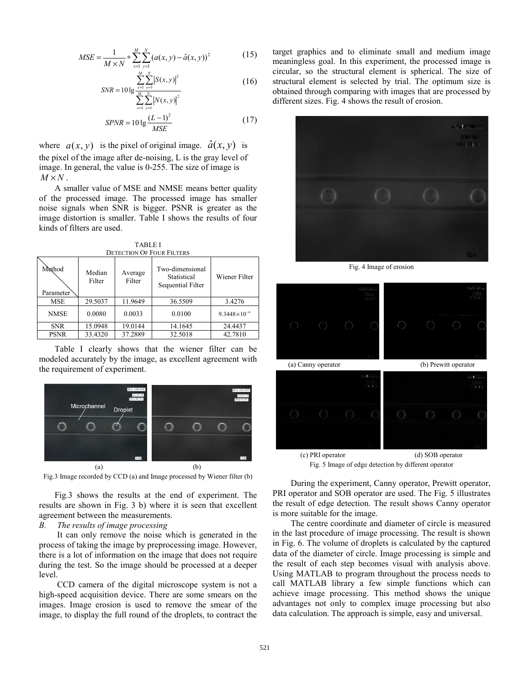$$
MSE = \frac{1}{M \times N} * \sum_{x=1}^{M} \sum_{y=1}^{N} (a(x, y) - \hat{a}(x, y))^{2}
$$
(15)

$$
SNR = 10 \lg \frac{\sum_{x=1}^{M} \sum_{y=1}^{N} |S(x, y)|^2}{\sum_{x=1}^{M} \sum_{y=1}^{N} |N(x, y)|^2}
$$
(16)

$$
SPNR = 10 \lg \frac{(L-1)^2}{MSE}
$$
 (17)

where  $a(x, y)$  is the pixel of original image.  $\hat{a}(x, y)$  is the pixel of the image after de-noising, L is the gray level of image. In general, the value is 0-255. The size of image is  $M \times N$ .

 A smaller value of MSE and NMSE means better quality of the processed image. The processed image has smaller noise signals when SNR is bigger. PSNR is greater as the image distortion is smaller. Table I shows the results of four kinds of filters are used.

TABLE I DETECTION OF FOUR FILTERS

| Method<br>Parameter | Median<br>Filter | Average<br>Filter | Two-dimensional<br>Statistical<br>Sequential Filter | Wiener Filter         |
|---------------------|------------------|-------------------|-----------------------------------------------------|-----------------------|
| <b>MSE</b>          | 29.5037          | 11.9649           | 36.5509                                             | 3.4276                |
| <b>NMSE</b>         | 0.0080           | 0.0033            | 0.0100                                              | $9.3448\times10^{-4}$ |
| <b>SNR</b>          | 15.0948          | 19.0144           | 14.1645                                             | 24.4437               |
| <b>PSNR</b>         | 33.4320          | 37.2889           | 32.5018                                             | 42.7810               |

 Table I clearly shows that the wiener filter can be modeled accurately by the image, as excellent agreement with the requirement of experiment.



Fig.3 Image recorded by CCD (a) and Image processed by Wiener filter (b)

 Fig.3 shows the results at the end of experiment. The results are shown in Fig. 3 b) where it is seen that excellent agreement between the measurements.

# *B. The results of image processing*

 It can only remove the noise which is generated in the process of taking the image by preprocessing image. However, there is a lot of information on the image that does not require during the test. So the image should be processed at a deeper level.

 CCD camera of the digital microscope system is not a high-speed acquisition device. There are some smears on the images. Image erosion is used to remove the smear of the image, to display the full round of the droplets, to contract the

target graphics and to eliminate small and medium image meaningless goal. In this experiment, the processed image is circular, so the structural element is spherical. The size of structural element is selected by trial. The optimum size is obtained through comparing with images that are processed by different sizes. Fig. 4 shows the result of erosion.



Fig. 4 Image of erosion



Fig. 5 Image of edge detection by different operator

 During the experiment, Canny operator, Prewitt operator, PRI operator and SOB operator are used. The Fig. 5 illustrates the result of edge detection. The result shows Canny operator is more suitable for the image.

 The centre coordinate and diameter of circle is measured in the last procedure of image processing. The result is shown in Fig. 6. The volume of droplets is calculated by the captured data of the diameter of circle. Image processing is simple and the result of each step becomes visual with analysis above. Using MATLAB to program throughout the process needs to call MATLAB library a few simple functions which can achieve image processing. This method shows the unique advantages not only to complex image processing but also data calculation. The approach is simple, easy and universal.